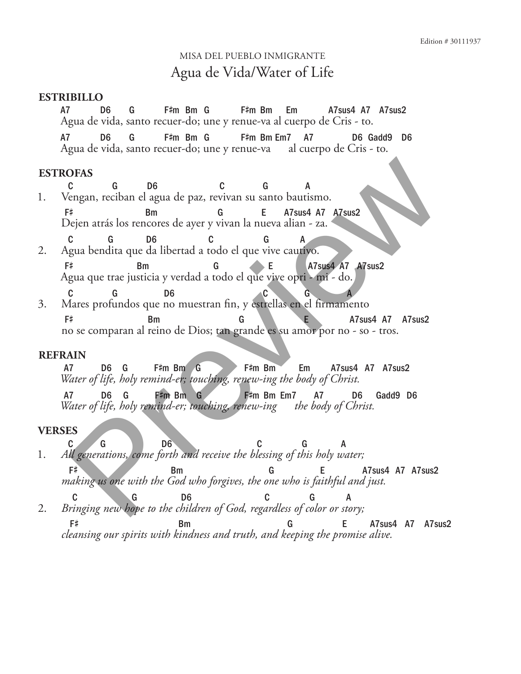# Misa del Pueblo Inmigrante Agua de Vida/Water of Life

### **ESTRIBILLO**

A7 D6 G F# F#m Bm G F#m Bm Em A7sus4 A7 A7sus2 Agua de vida, santo recuer-do; une y renue-va al cuerpo de Cris - to.

A7 D6 G m Bm G F# m Bm Em7 A7 D6 Gadd9 D6 Agua de vida, santo recuer-do; une y renue-va al cuerpo de Cris - to.

## **ESTROFAS**

C G D6 C G A 1. Vengan, reciban el agua de paz, revivan su santo bautismo.

F# Bm G E A7sus4 A7 A7sus2 Dejen atrás los rencores de ayer y vivan la nueva alian - za.

- C G D6 C G A 2. Agua bendita que da libertad a todo el que vive cautivo. F# Bm G E A7sus4 A7 A7sus2 Agua que trae justicia y verdad a todo el que vive opri - mi - do.
- C G D6 C G A 3. Mares profundos que no muestran fin, y estrellas en el firmamento F# Bm G G A7sus4 A7 A7sus2 no se comparan al reino de Dios; tan grande es su amor por no - so - tros. **OFAS**<br>
Congan, reciban el agua de paz, revivan su santo bautismo.<br>
<sup>C</sup>e de B<sub>e</sub> D<sub>6</sub> a de paz, revivan su santo bautismo.<br>
Prem atrás los rencores de ayer y vivan la nueva alian - za.<br>
Ce de B<sub>e</sub> D<sub>6</sub> a de libertad a tod

#### **REFRAIN**

A7 D6 G F#m Bm G F#m Bm Em A7sus4 A7 A7sus2 *Water of life, holy remind-er; touching, renew-ing the body of Christ.*

A7 D6 G F#m Bm G F#m Bm Em7 A7 D6 Gadd9 D6 *Water of life, holy remind-er; touching, renew-ing the body of Christ.*

## **VERSES**

C G D6 C G A 1. *All generations, come forth and receive the blessing of this holy water;*

F# Bm Bm G E A7sus4 A7 A7sus2 *making us one with the God who forgives, the one who is faithful and just.*

C G D6 C G A 2. *Bringing new hope to the children of God, regardless of color or story;* F# Bm G E A7sus4 A7 A7sus2 *cleansing our spirits with kindness and truth, and keeping the promise alive.*